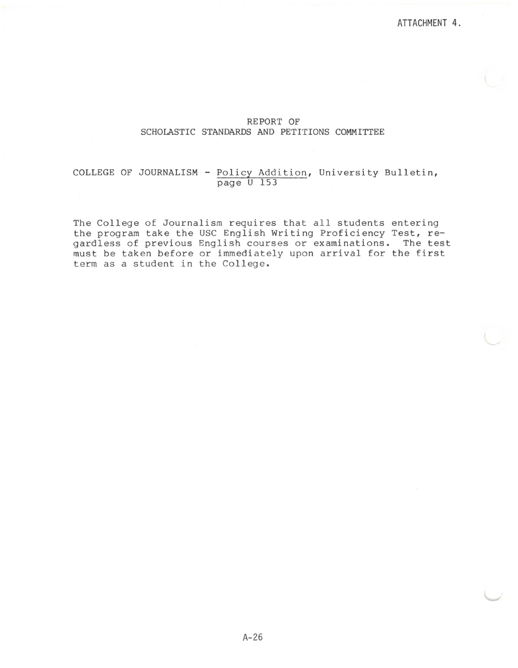## REPORT OF SCHOLASTIC STANDARDS AND PETITIONS COMMITTEE

## COLLEGE OF JOURNALISM - Policy Addition, University Bulletin, page U 153

The College of Journalism requires that all students entering the program take the USC English Writing Proficiency Test, regardless of previous English courses or examinations. The test must be taken before or immediately upon arrival for the first term as a student in the College.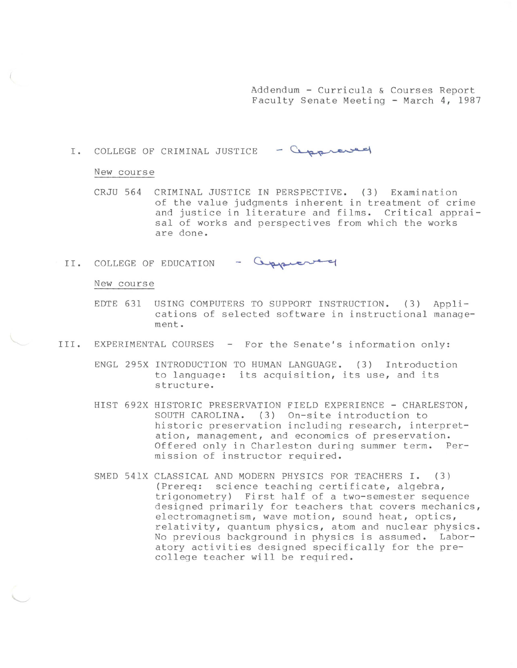Addendum - Curricula & Courses Report Faculty Senate Meeting - March 4, 1987

I. COLLEGE OF CRIMINAL JUSTICE - Cappreved

### New course

CRJU 564 CRIMINAL JUSTICE IN PERSPECTIVE. ( 3) Examination of the value judgments inherent in treatment of crime and justice in literature and films. Critical appraisal of works and perspectives from which the works are done.

II. COLLEGE OF EDUCATION - Copper

#### New course

- EDTE 631 USING COMPUTERS TO SUPPORT INSTRUCTION. ( 3) Applications of selected software in instructional management.
- III. EXPERIMENTAL COURSES For the Senate's information only:
	- ENGL 295X INTRODUCTION TO HUMAN LANGUAGE. (3) Introduction to language: its acquisition, its use, and its structure.
	- HIST 692X HISTORIC PRESERVATION FIELD EXPERIENCE CHARLESTON, SOUTH CAROLINA. (3) On-site introduction to historic preservation including research, interpretation, management, and economics of preservation. Offered only in Charleston during summer term. Permission of instructor required.
	- SMED 541X CLASSICAL AND MODERN PHYSICS FOR TEACHERS I. (3) (Prereq: science teaching certificate, algebra, trigonometry) First half of a two-semester sequence designed primarily for teachers that covers mechanics, electromagnetism, wave motion, sound heat, optics, relativity, quantum physics, atom and nuclear physics. No previous background in physics is assumed. Laboratory activities designed specifically for the precollege teacher will be required.